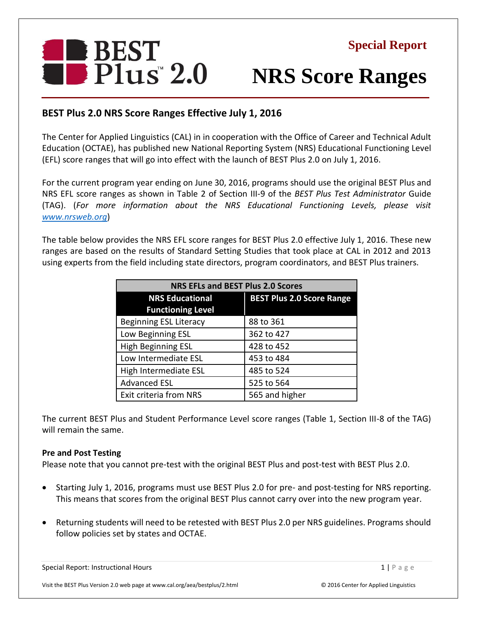

# **NRS Score Ranges**

## **BEST Plus 2.0 NRS Score Ranges Effective July 1, 2016**

The Center for Applied Linguistics (CAL) in in cooperation with the Office of Career and Technical Adult Education (OCTAE), has published new National Reporting System (NRS) Educational Functioning Level (EFL) score ranges that will go into effect with the launch of BEST Plus 2.0 on July 1, 2016.

For the current program year ending on June 30, 2016, programs should use the original BEST Plus and NRS EFL score ranges as shown in Table 2 of Section III-9 of the *BEST Plus Test Administrator* Guide (TAG). (*For more information about the NRS Educational Functioning Levels, please visit [www.nrsweb.org](http://www.nrsweb.org/)*)

The table below provides the NRS EFL score ranges for BEST Plus 2.0 effective July 1, 2016. These new ranges are based on the results of Standard Setting Studies that took place at CAL in 2012 and 2013 using experts from the field including state directors, program coordinators, and BEST Plus trainers.

| <b>NRS EFLs and BEST Plus 2.0 Scores</b> |                                  |
|------------------------------------------|----------------------------------|
| <b>NRS Educational</b>                   | <b>BEST Plus 2.0 Score Range</b> |
| <b>Functioning Level</b>                 |                                  |
| <b>Beginning ESL Literacy</b>            | 88 to 361                        |
| Low Beginning ESL                        | 362 to 427                       |
| High Beginning ESL                       | 428 to 452                       |
| Low Intermediate ESL                     | 453 to 484                       |
| High Intermediate ESL                    | 485 to 524                       |
| <b>Advanced ESL</b>                      | 525 to 564                       |
| Exit criteria from NRS                   | 565 and higher                   |

The current BEST Plus and Student Performance Level score ranges (Table 1, Section III-8 of the TAG) will remain the same.

### **Pre and Post Testing**

Please note that you cannot pre-test with the original BEST Plus and post-test with BEST Plus 2.0.

- Starting July 1, 2016, programs must use BEST Plus 2.0 for pre- and post-testing for NRS reporting. This means that scores from the original BEST Plus cannot carry over into the new program year.
- Returning students will need to be retested with BEST Plus 2.0 per NRS guidelines. Programs should follow policies set by states and OCTAE.

Special Report: Instructional Hours 1 | P a g e